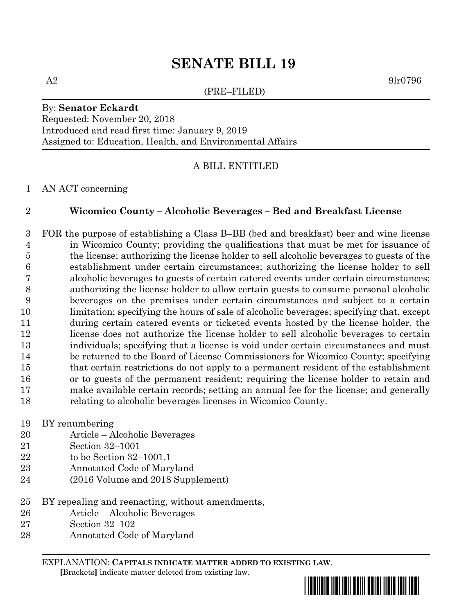## **SENATE BILL 19**

(PRE–FILED)

 $A2 \qquad \qquad 9\text{l}r0796$ 

## By: **Senator Eckardt** Requested: November 20, 2018 Introduced and read first time: January 9, 2019 Assigned to: Education, Health, and Environmental Affairs

## A BILL ENTITLED

AN ACT concerning

## **Wicomico County – Alcoholic Beverages – Bed and Breakfast License**

 FOR the purpose of establishing a Class B–BB (bed and breakfast) beer and wine license in Wicomico County; providing the qualifications that must be met for issuance of the license; authorizing the license holder to sell alcoholic beverages to guests of the establishment under certain circumstances; authorizing the license holder to sell alcoholic beverages to guests of certain catered events under certain circumstances; authorizing the license holder to allow certain guests to consume personal alcoholic beverages on the premises under certain circumstances and subject to a certain limitation; specifying the hours of sale of alcoholic beverages; specifying that, except during certain catered events or ticketed events hosted by the license holder, the license does not authorize the license holder to sell alcoholic beverages to certain individuals; specifying that a license is void under certain circumstances and must be returned to the Board of License Commissioners for Wicomico County; specifying that certain restrictions do not apply to a permanent resident of the establishment or to guests of the permanent resident; requiring the license holder to retain and make available certain records; setting an annual fee for the license; and generally relating to alcoholic beverages licenses in Wicomico County.

- BY renumbering
- Article Alcoholic Beverages
- Section 32–1001
- to be Section 32–1001.1
- Annotated Code of Maryland
- (2016 Volume and 2018 Supplement)
- BY repealing and reenacting, without amendments,
- Article Alcoholic Beverages
- Section 32–102
- Annotated Code of Maryland

EXPLANATION: **CAPITALS INDICATE MATTER ADDED TO EXISTING LAW**.  **[**Brackets**]** indicate matter deleted from existing law.

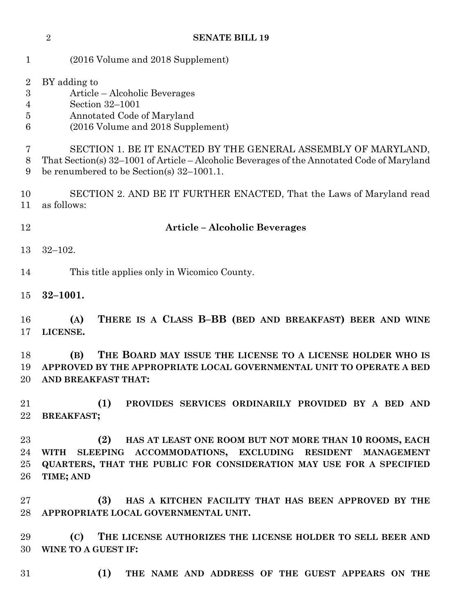**SENATE BILL 19** (2016 Volume and 2018 Supplement) BY adding to Article – Alcoholic Beverages Section 32–1001 Annotated Code of Maryland (2016 Volume and 2018 Supplement) SECTION 1. BE IT ENACTED BY THE GENERAL ASSEMBLY OF MARYLAND, That Section(s) 32–1001 of Article – Alcoholic Beverages of the Annotated Code of Maryland be renumbered to be Section(s) 32–1001.1. SECTION 2. AND BE IT FURTHER ENACTED, That the Laws of Maryland read as follows: **Article – Alcoholic Beverages** 32–102. This title applies only in Wicomico County. **32–1001. (A) THERE IS A CLASS B–BB (BED AND BREAKFAST) BEER AND WINE LICENSE. (B) THE BOARD MAY ISSUE THE LICENSE TO A LICENSE HOLDER WHO IS APPROVED BY THE APPROPRIATE LOCAL GOVERNMENTAL UNIT TO OPERATE A BED AND BREAKFAST THAT: (1) PROVIDES SERVICES ORDINARILY PROVIDED BY A BED AND BREAKFAST; (2) HAS AT LEAST ONE ROOM BUT NOT MORE THAN 10 ROOMS, EACH WITH SLEEPING ACCOMMODATIONS, EXCLUDING RESIDENT MANAGEMENT QUARTERS, THAT THE PUBLIC FOR CONSIDERATION MAY USE FOR A SPECIFIED TIME; AND (3) HAS A KITCHEN FACILITY THAT HAS BEEN APPROVED BY THE APPROPRIATE LOCAL GOVERNMENTAL UNIT. (C) THE LICENSE AUTHORIZES THE LICENSE HOLDER TO SELL BEER AND WINE TO A GUEST IF: (1) THE NAME AND ADDRESS OF THE GUEST APPEARS ON THE**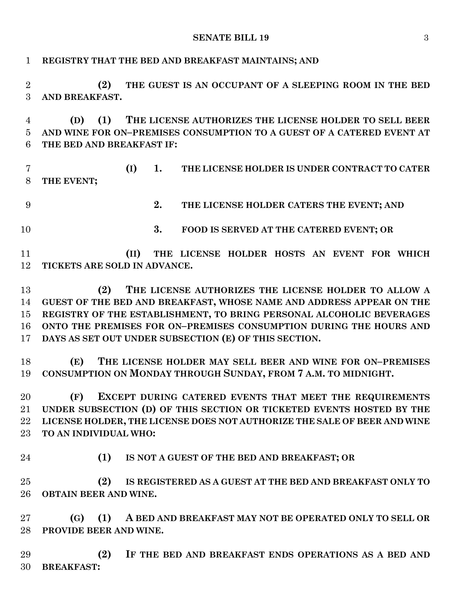**SENATE BILL 19** 3

| $\mathbf{1}$               | REGISTRY THAT THE BED AND BREAKFAST MAINTAINS; AND                                                                                                                                                                                                                                                                                         |
|----------------------------|--------------------------------------------------------------------------------------------------------------------------------------------------------------------------------------------------------------------------------------------------------------------------------------------------------------------------------------------|
| $\overline{2}$<br>3        | THE GUEST IS AN OCCUPANT OF A SLEEPING ROOM IN THE BED<br>(2)<br>AND BREAKFAST.                                                                                                                                                                                                                                                            |
| 4<br>5<br>6                | THE LICENSE AUTHORIZES THE LICENSE HOLDER TO SELL BEER<br>(1)<br>(D)<br>AND WINE FOR ON-PREMISES CONSUMPTION TO A GUEST OF A CATERED EVENT AT<br>THE BED AND BREAKFAST IF:                                                                                                                                                                 |
| 7<br>8                     | (I)<br>1.<br>THE LICENSE HOLDER IS UNDER CONTRACT TO CATER<br>THE EVENT;                                                                                                                                                                                                                                                                   |
| 9                          | 2.<br>THE LICENSE HOLDER CATERS THE EVENT; AND                                                                                                                                                                                                                                                                                             |
| 10                         | 3.<br>FOOD IS SERVED AT THE CATERED EVENT; OR                                                                                                                                                                                                                                                                                              |
| 11<br>12                   | THE LICENSE HOLDER HOSTS AN EVENT FOR WHICH<br>(II)<br>TICKETS ARE SOLD IN ADVANCE.                                                                                                                                                                                                                                                        |
| 13<br>14<br>15<br>16<br>17 | THE LICENSE AUTHORIZES THE LICENSE HOLDER TO ALLOW A<br>(2)<br>GUEST OF THE BED AND BREAKFAST, WHOSE NAME AND ADDRESS APPEAR ON THE<br>REGISTRY OF THE ESTABLISHMENT, TO BRING PERSONAL ALCOHOLIC BEVERAGES<br>ONTO THE PREMISES FOR ON-PREMISES CONSUMPTION DURING THE HOURS AND<br>DAYS AS SET OUT UNDER SUBSECTION (E) OF THIS SECTION. |
| 18<br>19                   | THE LICENSE HOLDER MAY SELL BEER AND WINE FOR ON-PREMISES<br>(E)<br>CONSUMPTION ON MONDAY THROUGH SUNDAY, FROM 7 A.M. TO MIDNIGHT.                                                                                                                                                                                                         |
| 20<br>21<br>22<br>$23\,$   | (F)<br>EXCEPT DURING CATERED EVENTS THAT MEET THE REQUIREMENTS<br>UNDER SUBSECTION (D) OF THIS SECTION OR TICKETED EVENTS HOSTED BY THE<br>LICENSE HOLDER, THE LICENSE DOES NOT AUTHORIZE THE SALE OF BEER AND WINE<br>TO AN INDIVIDUAL WHO:                                                                                               |
| 24                         | (1)<br>IS NOT A GUEST OF THE BED AND BREAKFAST; OR                                                                                                                                                                                                                                                                                         |
| 25<br>26                   | (2)<br>IS REGISTERED AS A GUEST AT THE BED AND BREAKFAST ONLY TO<br><b>OBTAIN BEER AND WINE.</b>                                                                                                                                                                                                                                           |
| $27\,$<br>28               | (G)<br>(1)<br>A BED AND BREAKFAST MAY NOT BE OPERATED ONLY TO SELL OR<br>PROVIDE BEER AND WINE.                                                                                                                                                                                                                                            |
| 29<br>30                   | (2)<br>IF THE BED AND BREAKFAST ENDS OPERATIONS AS A BED AND<br><b>BREAKFAST:</b>                                                                                                                                                                                                                                                          |